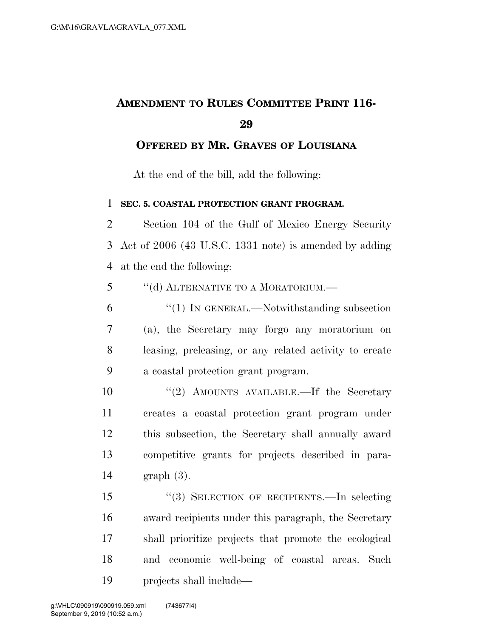## **AMENDMENT TO RULES COMMITTEE PRINT 116-**

**OFFERED BY MR. GRAVES OF LOUISIANA**

At the end of the bill, add the following:

**SEC. 5. COASTAL PROTECTION GRANT PROGRAM.** 

 Section 104 of the Gulf of Mexico Energy Security Act of 2006 (43 U.S.C. 1331 note) is amended by adding at the end the following:

''(d) ALTERNATIVE TO A MORATORIUM.—

 ''(1) IN GENERAL.—Notwithstanding subsection (a), the Secretary may forgo any moratorium on leasing, preleasing, or any related activity to create a coastal protection grant program.

10 ''(2) AMOUNTS AVAILABLE.—If the Secretary creates a coastal protection grant program under this subsection, the Secretary shall annually award competitive grants for projects described in para-graph (3).

 ''(3) SELECTION OF RECIPIENTS.—In selecting award recipients under this paragraph, the Secretary shall prioritize projects that promote the ecological and economic well-being of coastal areas. Such projects shall include